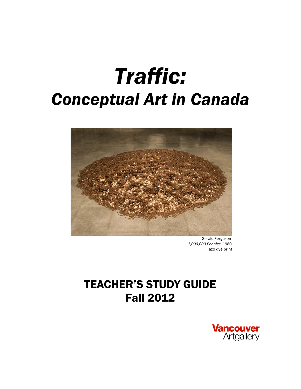# *Traffic: Conceptual Art in Canada*



 Gerald Ferguson  *1,000,000 Pennies*, 1980 azo dye print

## TEACHER'S STUDY GUIDE Fall 2012

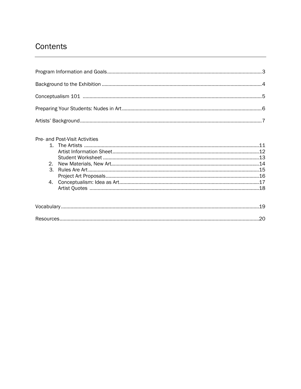### Contents

| Pre- and Post-Visit Activities |  |
|--------------------------------|--|
|--------------------------------|--|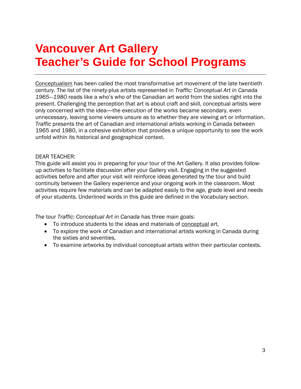# **Vancouver Art Gallery Teacher's Guide for School Programs**

Conceptualism has been called the most transformative art movement of the late twentieth century. The list of the ninety-plus artists represented in *Traffic: Conceptual Art in Canada 1965―1980* reads like a who's who of the Canadian art world from the sixties right into the present. Challenging the perception that art is about craft and skill, conceptual artists were only concerned with the idea—the execution of the works became secondary, even unnecessary, leaving some viewers unsure as to whether they are viewing art or information. *Traffic* presents the art of Canadian and international artists working in Canada between 1965 and 1980, in a cohesive exhibition that provides a unique opportunity to see the work unfold within its historical and geographical context.

#### DEAR TEACHER:

This guide will assist you in preparing for your tour of the Art Gallery*.* It also provides followup activities to facilitate discussion after your Gallery visit. Engaging in the suggested activities before and after your visit will reinforce ideas generated by the tour and build continuity between the Gallery experience and your ongoing work in the classroom. Most activities require few materials and can be adapted easily to the age, grade level and needs of your students. Underlined words in this guide are defined in the Vocabulary section.

The tour *Traffic: Conceptual Art in Canada* has three main goals:

- To introduce students to the ideas and materials of conceptual art,
- To explore the work of Canadian and international artists working in Canada during the sixties and seventies,
- To examine artworks by individual conceptual artists within their particular contexts.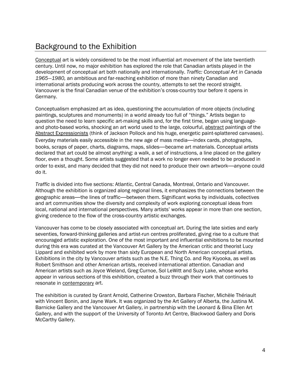### Background to the Exhibition

Conceptual art is widely considered to be the most influential art movement of the late twentieth century. Until now, no major exhibition has explored the role that Canadian artists played in the development of conceptual art both nationally and internationally. *Traffic: Conceptual Art in Canada 1965―1980,* an ambitious and far-reaching exhibition of more than ninety Canadian and international artists producing work across the country, attempts to set the record straight. Vancouver is the final Canadian venue of the exhibition's cross-country tour before it opens in Germany.

Conceptualism emphasized art as idea, questioning the accumulation of more objects (including paintings, sculptures and monuments) in a world already too full of "things." Artists began to question the need to learn specific art-making skills and, for the first time, began using languageand photo-based works, shocking an art world used to the large, colourful, abstract paintings of the Abstract Expressionists (think of Jackson Pollock and his huge, energetic paint-splattered canvases). Everyday materials easily accessible in the new age of mass media—index cards, photographs, books, scraps of paper, charts, diagrams, maps, slides—became art materials. Conceptual artists declared that art could be almost anything: a walk, a set of instructions, a line placed on the gallery floor, even a thought. Some artists suggested that a work no longer even needed to be produced in order to exist, and many decided that they did not need to produce their own artwork—anyone could do it.

*Traffic* is divided into five sections: Atlantic, Central Canada, Montreal, Ontario and Vancouver. Although the exhibition is organized along regional lines, it emphasizes the connections between the geographic areas—the lines of traffic—between them. Significant works by individuals, collectives and art communities show the diversity and complexity of work exploring conceptual ideas from local, national and international perspectives. Many artists' works appear in more than one section, giving credence to the flow of the cross-country artistic exchanges.

Vancouver has come to be closely associated with conceptual art. During the late sixties and early seventies, forward-thinking galleries and artist-run centres proliferated, giving rise to a culture that encouraged artistic exploration. One of the most important and influential exhibitions to be mounted during this era was curated at the Vancouver Art Gallery by the American critic and theorist Lucy Lippard and exhibited work by more than sixty European and North American conceptual artists. Exhibitions in the city by Vancouver artists such as the N.E. Thing Co. and Roy Kiyooka, as well as Robert Smithson and other American artists, received international attention. Canadian and American artists such as Joyce Wieland, Greg Curnoe, Sol LeWitt and Suzy Lake, whose works appear in various sections of this exhibition, created a buzz through their work that continues to resonate in contemporary art.

The exhibition is curated by Grant Arnold, Catherine Crowston, Barbara Fischer, Michèle Thériault with Vincent Bonin, and Jayne Wark. It was organized by the Art Gallery of Alberta, the Justina M. Barnicke Gallery and the Vancouver Art Gallery, in partnership with the Leonard & Bina Ellen Art Gallery, and with the support of the University of Toronto Art Centre, Blackwood Gallery and Doris McCarthy Gallery.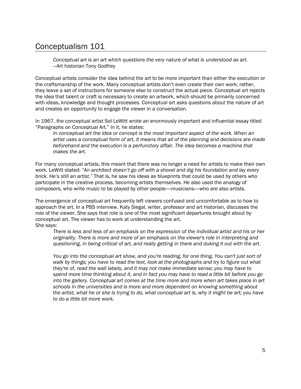### Conceptualism 101

*Conceptual art is an art which questions the very nature of what is understood as art.* —Art historian Tony Godfrey

Conceptual artists consider the idea behind the art to be more important than either the execution or the craftsmanship of the work. Many conceptual artists don't even create their own work; rather, they leave a set of instructions for someone else to construct the actual piece. Conceptual art rejects the idea that talent or craft is necessary to create an artwork, which should be primarily concerned with ideas, knowledge and thought processes. Conceptual art asks questions about the nature of art and creates an opportunity to engage the viewer in a conversation.

In 1967, the conceptual artist Sol LeWitt wrote an enormously important and influential essay titled "Paragraphs on Conceptual Art." In it, he states:

*In conceptual art the idea or concept is the most important aspect of the work. When an artist uses a conceptual form of art, it means that all of the planning and decisions are made beforehand and the execution is a perfunctory affair. The idea becomes a machine that makes the art.* 

For many conceptual artists, this meant that there was no longer a need for artists to make their own work. LeWitt stated: *"An architect doesn't go off with a shovel and dig his foundation and lay every brick. He's still an artist."* That is, he saw his ideas as blueprints that could be used by others who participate in the creative process, becoming artists themselves. He also used the analogy of composers, who write music to be played by other people—musicians—who are also artists.

The emergence of conceptual art frequently left viewers confused and uncomfortable as to how to approach the art. In a PBS interview, Katy Siegal, writer, professor and art historian, discusses the role of the viewer. She says that role is one of the most significant departures brought about by conceptual art. The viewer has to work at understanding the art. She says:

*There is less and less of an emphasis on the expression of the individual artist and his or her originality. There is more and more of an emphasis on the viewer's role in interpreting and questioning, in being critical of art, and really getting in there and duking it out with the art.* 

*You go into the conceptual art show, and you're reading, for one thing. You can't just sort of walk by things; you have to read the text, look at the photographs and try to figure out what they're of, read the wall labels, and it may not make immediate sense; you may have to spend more time thinking about it, and in fact you may have to read a little bit before you go into the gallery. Conceptual art comes at the time more and more when art takes place in art schools in the universities and is more and more dependent on knowing something about the artist, what he or she is trying to do, what conceptual art is, why it might be art; you have to do a little bit more work.*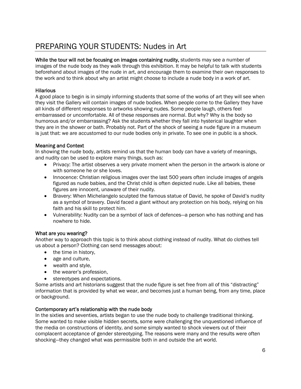### PREPARING YOUR STUDENTS: Nudes in Art

While the tour will not be focusing on images containing nudity, students may see a number of images of the nude body as they walk through this exhibition. It may be helpful to talk with students beforehand about images of the nude in art, and encourage them to examine their own responses to the work and to think about why an artist might choose to include a nude body in a work of art.

#### **Hilarious**

A good place to begin is in simply informing students that some of the works of art they will see when they visit the Gallery will contain images of nude bodies. When people come to the Gallery they have all kinds of different responses to artworks showing nudes. Some people laugh, others feel embarrassed or uncomfortable. All of these responses are normal. But why? Why is the body so humorous and/or embarrassing? Ask the students whether they fall into hysterical laughter when they are in the shower or bath. Probably not. Part of the shock of seeing a nude figure in a museum is just that: we are accustomed to our nude bodies only in private. To see one in public is a shock.

#### Meaning and Context

In showing the nude body, artists remind us that the human body can have a variety of meanings, and nudity can be used to explore many things, such as:

- Privacy: The artist observes a very private moment when the person in the artwork is alone or with someone he or she loves.
- Innocence: Christian religious images over the last 500 years often include images of angels figured as nude babies, and the Christ child is often depicted nude. Like all babies, these figures are innocent, unaware of their nudity.
- Bravery: When Michelangelo sculpted the famous statue of David, he spoke of David's nudity as a symbol of bravery. David faced a giant without any protection on his body, relying on his faith and his skill to protect him.
- Vulnerability: Nudity can be a symbol of lack of defences—a person who has nothing and has nowhere to hide.

#### What are you wearing?

Another way to approach this topic is to think about clothing instead of nudity. What do clothes tell us about a person? Clothing can send messages about:

- the time in history,
- age and culture,
- wealth and style,
- the wearer's profession,
- stereotypes and expectations.

Some artists and art historians suggest that the nude figure is set free from all of this "distracting" information that is provided by what we wear, and becomes just a human being, from any time, place or background.

#### Contemporary art's relationship with the nude body

In the sixties and seventies, artists began to use the nude body to challenge traditional thinking. Some wanted to make visible hidden secrets, some were challenging the unquestioned influence of the media on constructions of identity, and some simply wanted to shock viewers out of their complacent acceptance of gender stereotyping. The reasons were many and the results were often shocking—they changed what was permissible both in and outside the art world.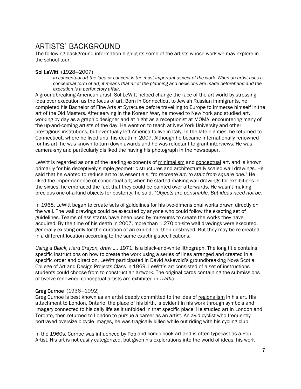### ARTISTS' BACKGROUND

The following background information highlights some of the artists whose work we may explore in the school tour.

#### Sol LeWitt (1928―2007)

*In conceptual art the idea or concept is the most important aspect of the work. When an artist uses a conceptual form of art, it means that all of the planning and decisions are made beforehand and the execution is a perfunctory affair.* 

A groundbreaking American artist, Sol LeWitt helped change the face of the art world by stressing idea over execution as the focus of art. Born in Connecticut to Jewish Russian immigrants, he completed his Bachelor of Fine Arts at Syracuse before travelling to Europe to immerse himself in the art of the Old Masters. After serving in the Korean War, he moved to New York and studied art, working by day as a graphic designer and at night as a receptionist at MOMA, encountering many of the up-and-coming artists of the day. He went on to teach at New York University and other prestigious institutions, but eventually left America to live in Italy. In the late eighties, he returned to Connecticut, where he lived until his death in 2007. Although he became internationally renowned for his art, he was known to turn down awards and he was reluctant to grant interviews. He was camera-shy and particularly disliked the having his photograph in the newspaper.

LeWitt is regarded as one of the leading exponents of minimalism and conceptual art, and is known primarily for his deceptively simple geometric structures and architecturally scaled wall drawings. He said that he wanted to reduce art to its essentials, "*to recreate art, to start from square one.*" He liked the impermanence of conceptual art; when he started making wall drawings for exhibitions in the sixties, he embraced the fact that they could be painted over afterwards. He wasn't making precious one-of-a-kind objects for posterity, he said. "*Objects are perishable. But ideas need not be."*

In 1968, LeWitt began to create sets of guidelines for his two-dimensional works drawn directly on the wall. The wall drawings could be executed by anyone who could follow the exacting set of guidelines. Teams of assistants have been used by museums to create the works they have acquired. By the time of his death in 2007, more than 1,270 on-site wall drawings were executed, generally existing only for the duration of an exhibition, then destroyed. But they may be re-created in a different location according to the same exacting specifications.

*Using a Black, Hard Crayon, draw …,* 1971, is a black-and-white lithograph. The long title contains specific instructions on how to create the work using a series of lines arranged and created in a specific order and direction. LeWitt participated in David Askevold's groundbreaking Nova Scotia College of Art and Design Projects Class in 1969. LeWitt's art consisted of a set of instructions students could choose from to construct an artwork. The original cards containing the submissions of twelve renowned conceptual artists are exhibited in *Traffic*.

#### Greg Curnoe (1936―1992)

Greg Curnoe is best known as an artist deeply committed to the idea of regionalism in his art. His attachment to London, Ontario, the place of his birth, is evident in his work through symbols and imagery connected to his daily life as it unfolded in that specific place. He studied art in London and Toronto, then returned to London to pursue a career as an artist. An avid cyclist who frequently portrayed oversize bicycle images, he was tragically killed while out riding with his cycling club.

In the 1960s, Curnoe was influenced by Pop and comic book art and is often typecast as a Pop Artist. His art is not easily categorized, but given his explorations into the world of ideas, his work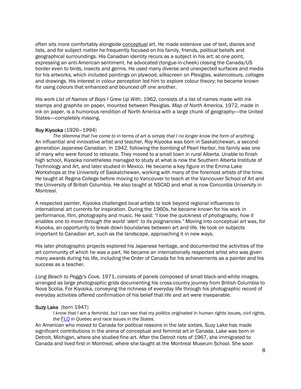often sits more comfortably alongside conceptual art. He made extensive use of text, diaries and lists, and for subject matter he frequently focused on his family, friends, political beliefs and geographical surroundings. His Canadian identity recurs as a subject in his art; at one point, expressing an anti-American sentiment, he advocated (tongue-in-cheek) closing the Canada/US border even to birds, insects and germs. He used many diverse and unexpected surfaces and media for his artworks, which included paintings on plywood, silkscreen on Plexiglas, watercolours, collages and drawings. His interest in colour perception led him to explore colour theory; he became known for using colours that enhanced and bounced off one another.

His work *List of Names of Boys I Grew Up With*, 1962, consists of a list of names made with ink stamps and graphite on paper, mounted between Plexiglas. *Map of North America,* 1972, made in ink on paper, is a humorous rendition of North America with a large chunk of geography—the United States—completely missing.

#### Roy Kiyooka (1926―1994)

*The dilemma that I've come to in terms of art is simply that I no longer know the form of anything.*  An influential and innovative artist and teacher, Roy Kiyooka was born in Saskatchewan, a secondgeneration Japanese Canadian. In 1942, following the bombing of Pearl Harbor, his family was one of many who were forced to relocate. They moved to a small town in rural Alberta. Unable to finish high school, Kiyooka nonetheless managed to study at what is now the Southern Alberta Institute of Technology and Art, and later studied in Mexico. He became a key figure in the Emma Lake Workshops at the University of Saskatchewan, working with many of the foremost artists of the time. He taught at Regina College before moving to Vancouver to teach at the Vancouver School of Art and the University of British Columbia. He also taught at NSCAD and what is now Concordia University in Montreal.

A respected painter, Kiyooka challenged local artists to look beyond regional influences to international art currents for inspiration. During the 1960s, he became known for his work in performance, film, photography and music. He said: *"I love the quickness of photography, how it enables one to move through the world 'alert' to its poignancies."* Moving into conceptual art was, for Kiyooka, an opportunity to break down boundaries between art and life. He took on subjects important to Canadian art, such as the landscape, approaching it in new ways.

His later photographic projects explored his Japanese heritage, and documented the activities of the art community of which he was a part. He became an internationally respected artist who was given many awards during his life, including the Order of Canada for his achievements as a painter and his success as a teacher.

*Long Beach to Peggy's Cove,* 1971, consists of panels composed of small black-and-white images, arranged as large photographic grids documenting his cross-country journey from British Columbia to Nova Scotia. For Kiyooka, conveying the richness of everyday life through his photographic record of everyday activities offered confirmation of his belief that life and art were inseparable.

#### Suzy Lake (born 1947)

*I know that I am a feminist, but I can see that my politics originated in human rights issues, civil rights, the* [FLQ](http://flqhttp/en.wikipedia.org/wiki/Front_de_lib%C3%A9ration_du_Qu%C3%A9bec) *in Quebec and race issues in the States.* 

An American who moved to Canada for political reasons in the late sixties, Suzy Lake has made significant contributions in the arena of conceptual and feminist art in Canada. Lake was born in Detroit, Michigan, where she studied fine art. After the Detroit riots of 1967, she immigrated to Canada and lived first in Montreal, where she taught at the Montreal Museum School. She soon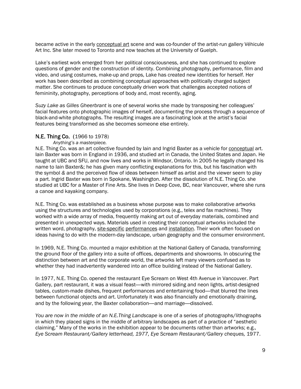became active in the early conceptual art scene and was co-founder of the artist-run gallery Véhicule Art Inc. She later moved to Toronto and now teaches at the University of Guelph.

Lake's earliest work emerged from her political consciousness, and she has continued to explore questions of gender and the construction of identity. Combining photography, performance, film and video, and using costumes, make-up and props, Lake has created new identities for herself. Her work has been described as combining conceptual approaches with politically charged subject matter. She continues to produce conceptually driven work that challenges accepted notions of femininity, photography, perceptions of body and, most recently, aging.

*Suzy Lake as Gilles Gheerbrant* is one of several works she made by transposing her colleagues' facial features onto photographic images of herself, documenting the process through a sequence of black-and-white photographs. The resulting images are a fascinating look at the artist's facial features being transformed as she becomes someone else entirely.

#### N.E. Thing Co. (1966 to 1978)

#### *Anything's a masterpiece.*

N.E. Thing Co. was an art collective founded by lain and Ingrid Baxter as a vehicle for conceptual art. Iain Baxter was born in England in 1936, and studied art in Canada, the United States and Japan. He taught at UBC and SFU, and now lives and works in Windsor, Ontario. In 2005 he legally changed his name to Iain Baxter&; he has given many conflicting explanations for this, but his fascination with the symbol *&* and the perceived flow of ideas between himself as artist and the viewer seem to play a part. Ingrid Baxter was born in Spokane, Washington. After the dissolution of N.E. Thing Co. she studied at UBC for a Master of Fine Arts. She lives in Deep Cove, BC, near Vancouver, where she runs a canoe and kayaking company.

N.E. Thing Co. was established as a business whose purpose was to make collaborative artworks using the structures and technologies used by corporations (e.g., telex and fax machines). They worked with a wide array of media, frequently making art out of everyday materials, combined and presented in unexpected ways. Materials used in creating their conceptual artworks included the written word, photography, site-specific performances and installation. Their work often focused on ideas having to do with the modern-day landscape, urban geography and the consumer environment.

In 1969, N.E. Thing Co. mounted a major exhibition at the National Gallery of Canada, transforming the ground floor of the gallery into a suite of offices, departments and showrooms. In obscuring the distinction between art and the corporate world, the artworks left many viewers confused as to whether they had inadvertently wandered into an office building instead of the National Gallery.

In 1977, N.E. Thing Co. opened the restaurant Eye Scream on West 4th Avenue in Vancouver. Part Gallery, part restaurant, it was a visual feast—with mirrored siding and neon lights, artist-designed tables, custom-made dishes, frequent performances and entertaining food—that blurred the lines between functional objects and art. Unfortunately it was also financially and emotionally draining, and by the following year, the Baxter collaboration—and marriage—dissolved.

*You are now in the middle of an N.E.Thing Landscape* is one of a series of photographs/lithographs in which they placed signs in the middle of arbitrary landscapes as part of a practice of "aesthetic claiming." Many of the works in the exhibition appear to be documents rather than artworks; e.g., *Eye Scream Restaurant/Gallery letterhead, 1977, Eye Scream Restaurant/Gallery cheques,* 1977.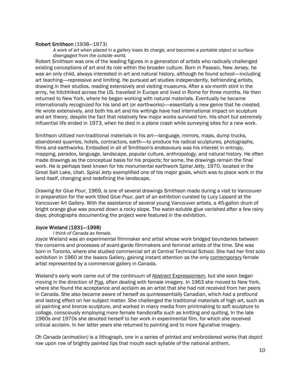#### Robert Smithson (1938―1973)

*A work of art when placed in a gallery loses its charge, and becomes a portable object or surface disengaged from the outside world.* 

Robert Smithson was one of the leading figures in a generation of artists who radically challenged existing conceptions of art and its role within the broader culture. Born in Passaic, New Jersey, he was an only child, always interested in art and natural history, although he found school—including art teaching—repressive and limiting. He pursued art studies independently, befriending artists, drawing in their studios, reading extensively and visiting museums. After a six-month stint in the army, he hitchhiked across the US, travelled in Europe and lived in Rome for three months. He then returned to New York, where he began working with natural materials. Eventually he became internationally recognized for his land art (or earthworks)—essentially a new genre that he created. He wrote extensively, and both his art and his writings have had international impact on sculpture and art theory, despite the fact that relatively few major works survived him. His short but extremely influential life ended in 1973, when he died in a plane crash while surveying sites for a new work.

Smithson utilized non-traditional materials in his art—language, mirrors, maps, dump trucks, abandoned quarries, hotels, contractors, earth—to produce his radical sculptures, photographs, films and earthworks. Embodied in all of Smithson's endeavours was his interest in entropy, mapping, paradox, language, landscape, popular culture, anthropology, and natural history. He often made drawings as the conceptual basis for his projects; for some, the drawings remain the final work. He is perhaps best known for his monumental earthwork *Spiral Jetty*, 1970, located in the Great Salt Lake, Utah. *Spiral Jetty* exemplified one of his major goals, which was to place work in the land itself, changing and redefining the landscape.

*Drawing for Glue Pour*, 1969, is one of several drawings Smithson made during a visit to Vancouver in preparation for the work titled *Glue Pour,* part of an exhibition curated by Lucy Lippard at the Vancouver Art Gallery. With the assistance of several young Vancouver artists, a 45-gallon drum of bright orange glue was poured down a rocky slope. The water-soluble glue vanished after a few rainy days; photographs documenting the project were featured in the exhibition.

#### Joyce Wieland (1931―1998)

#### *I think of Canada as female.*

Joyce Wieland was an experimental filmmaker and artist whose work bridged boundaries between the concerns and processes of avant-garde filmmakers and feminist artists of the time. She was born in Toronto, where she studied commercial art at Central Technical School. She had her first solo exhibition in 1960 at the Isaacs Gallery, gaining instant attention as the only contemporary female artist represented by a commercial gallery in Canada.

Wieland's early work came out of the continuum of Abstract Expressionism, but she soon began moving in the direction of Pop, often dealing with female imagery. In 1963 she moved to New York, where she found the acceptance and acclaim as an artist that she had not received from her peers in Canada. She also became aware of herself as quintessentially Canadian, which had a profound and lasting effect on her subject matter. She challenged the traditional materials of high art, such as oil painting and bronze sculpture, and worked in many media from printmaking to soft sculpture to collage, consciously employing more female handicrafts such as knitting and quilting. In the late 1960s and 1970s she devoted herself to her work in experimental film, for which she received critical acclaim. In her latter years she returned to painting and to more figurative imagery.

*Oh Canada (animation)* is a lithograph, one in a series of printed and embroidered works that depict row upon row of brightly painted lips that mouth each syllable of the national anthem.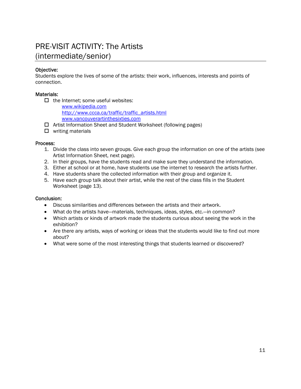### PRE-VISIT ACTIVITY: The Artists (intermediate/senior)

#### Objective:

Students explore the lives of some of the artists: their work, influences, interests and points of connection.

#### Materials:

 $\Box$  the Internet; some useful websites:

[www.wikipedia.com](http://www.wikipedia.com/)  [http://www.ccca.ca/traffic/traffic\\_artists.html](http://www.ccca.ca/traffic/traffic_artists.html) [www.vancouverartinthesixties.com](http://www.vancouverartinthesixties.com/)

- □ Artist Information Sheet and Student Worksheet (following pages)
- $\Box$  writing materials

#### Process:

- 1. Divide the class into seven groups. Give each group the information on one of the artists (see Artist Information Sheet, next page).
- 2. In their groups, have the students read and make sure they understand the information.
- 3. Either at school or at home, have students use the internet to research the artists further.
- 4. Have students share the collected information with their group and organize it.
- 5. Have each group talk about their artist, while the rest of the class fills in the Student Worksheet (page 13).

#### Conclusion:

- Discuss similarities and differences between the artists and their artwork.
- What do the artists have—materials, techniques, ideas, styles, etc.—in common?
- Which artists or kinds of artwork made the students curious about seeing the work in the exhibition?
- Are there any artists, ways of working or ideas that the students would like to find out more about?
- What were some of the most interesting things that students learned or discovered?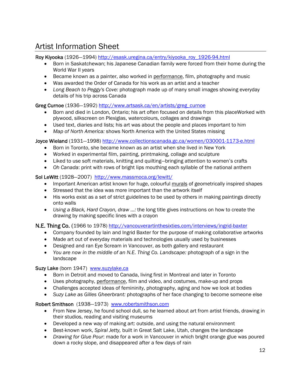### Artist Information Sheet

Roy Kiyooka (1926–1994) [http://esask.uregina.ca/entry/kiyooka\\_roy\\_1926-94.html](http://esask.uregina.ca/entry/kiyooka_roy_1926-94.html)

- Born in Saskatchewan; his Japanese Canadian family were forced from their home during the World War II years
- Became known as a painter, also worked in performance, film, photography and music
- Was awarded the Order of Canada for his work as an artist and a teacher
- *Long Beach to Peggy's Cove:* photograph made up of many small images showing everyday details of his trip across Canada

#### Greg Curnoe (1936–1992) [http://www.artsask.ca/en/artists/greg\\_curnoe](http://www.artsask.ca/en/artists/greg_curnoe)

- Born and died in London, Ontario; his art often focused on details from this placeWorked with plywood, silkscreen on Plexiglas, watercolours, collages and drawings
- Used text, diaries and lists; his art was about the people and places important to him
- *Map of North America:* shows North America with the United States missing

Joyce Wieland (1931―1998)<http://www.collectionscanada.gc.ca/women/030001-1173-e.html>

- Born in Toronto, she became known as an artist when she lived in New York
- Worked in experimental film, painting, printmaking, collage and sculpture
- Liked to use soft materials, knitting and quilting—bringing attention to women's crafts
- *Oh Canada*: print with rows of bright lips mouthing each syllable of the national anthem

#### Sol LeWitt (1928–2007) <http://www.massmoca.org/lewitt/>

- Important American artist known for huge, colourful murals of geometrically inspired shapes
- Stressed that the idea was more important than the artwork itself
- His works exist as a set of strict guidelines to be used by others in making paintings directly onto walls
- *Using a Black, Hard Crayon, draw …:* the long title gives instructions on how to create the drawing by making specific lines with a crayon

#### N.E. Thing Co. (1966 to 1978)<http://vancouverartinthesixties.com/interviews/ingrid-baxter>

- Company founded by Iain and Ingrid Baxter for the purpose of making collaborative artworks
- Made art out of everyday materials and technologies usually used by businesses
- Designed and ran Eye Scream in Vancouver, as both gallery and restaurant
- *You are now in the middle of an N.E. Thing Co. Landscape:* photograph of a sign in the landscape

#### Suzy Lake (born 1947) [www.suzylake.ca](http://www.suzylake.ca/)

- Born in Detroit and moved to Canada, living first in Montreal and later in Toronto
- Uses photography, performance, film and video, and costumes, make-up and props
- Challenges accepted ideas of femininity, photography, aging and how we look at bodies
- *Suzy Lake as Gilles Gheerbrant:* photographs of her face changing to become someone else

#### Robert Smithson (1938―1973) [www.robertsmithson.com](http://www.robertsmithson.com/)

- From New Jersey, he found school dull, so he learned about art from artist friends, drawing in their studios, reading and visiting museums
- Developed a new way of making art: outside, and using the natural environment
- Best-known work, *Spiral Jetty,* built in Great Salt Lake, Utah, changes the landscape
- *Drawing for Glue Pour*: made for a work in Vancouver in which bright orange glue was poured down a rocky slope, and disappeared after a few days of rain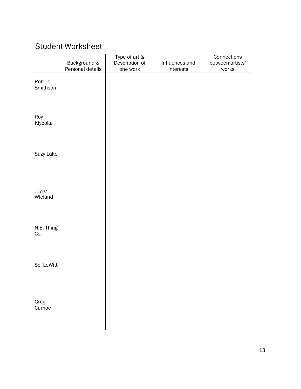### Student Worksheet

|                    | Background &     | Type of art &<br>Description of | Influences and | Connections<br>between artists' |
|--------------------|------------------|---------------------------------|----------------|---------------------------------|
|                    | Personal details | one work                        | interests      | works                           |
| Robert<br>Smithson |                  |                                 |                |                                 |
| Roy<br>Kiyooka     |                  |                                 |                |                                 |
| Suzy Lake          |                  |                                 |                |                                 |
| Joyce<br>Wieland   |                  |                                 |                |                                 |
| N.E. Thing<br>Co.  |                  |                                 |                |                                 |
| Sol LeWitt         |                  |                                 |                |                                 |
| Greg<br>Curnoe     |                  |                                 |                |                                 |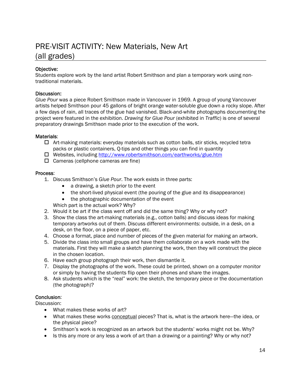### PRE-VISIT ACTIVITY: New Materials, New Art (all grades)

#### Objective:

Students explore work by the land artist Robert Smithson and plan a temporary work using nontraditional materials.

#### Discussion:

*Glue Pour* was a piece Robert Smithson made in Vancouver in 1969. A group of young Vancouver artists helped Smithson pour 45 gallons of bright orange water-soluble glue down a rocky slope. After a few days of rain, all traces of the glue had vanished. Black-and-white photographs documenting the project were featured in the exhibition. *Drawing for Glue Pour* (exhibited in *Traffic*) is one of several preparatory drawings Smithson made prior to the execution of the work.

#### Materials:

- $\Box$  Art-making materials: everyday materials such as cotton balls, stir sticks, recycled tetra packs or plastic containers, Q-tips and other things you can find in quantity
- Websites, including <http://www.robertsmithson.com/earthworks/glue.htm>
- $\Box$  Cameras (cellphone cameras are fine)

#### Process:

- 1. Discuss Smithson's *Glue Pour*. The work exists in three parts:
	- a drawing, a sketch prior to the event
	- the short-lived physical event (the pouring of the glue and its disappearance)
	- the photographic documentation of the event

Which part is the actual work? Why?

- 2. Would it be art if the class went off and did the same thing? Why or why not?
- 3. Show the class the art-making materials (e.g., cotton balls) and discuss ideas for making temporary artworks out of them. Discuss different environments: outside, in a desk, on a desk, on the floor, on a piece of paper, etc.
- 4. Choose a format, place and number of pieces of the given material for making an artwork.
- 5. Divide the class into small groups and have them collaborate on a work made with the materials. First they will make a sketch planning the work, then they will construct the piece in the chosen location.
- 6. Have each group photograph their work, then dismantle it.
- 7. Display the photographs of the work. These could be printed, shown on a computer monitor or simply by having the students flip open their phones and share the images.
- 8. Ask students which is the "real" work: the sketch, the temporary piece or the documentation (the photograph)?

#### Conclusion:

Discussion:

- What makes these works of art?
- What makes these works conceptual pieces? That is, what is the artwork here—the idea, or the physical piece?
- Smithson's work is recognized as an artwork but the students' works might not be. Why?
- Is this any more or any less a work of art than a drawing or a painting? Why or why not?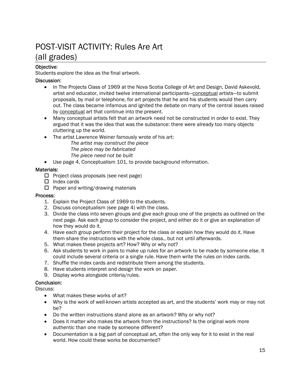### POST-VISIT ACTIVITY: Rules Are Art (all grades)

#### Objective:

Students explore the idea as the final artwork.

#### Discussion:

- In The Projects Class of 1969 at the Nova Scotia College of Art and Design, David Askevold, artist and educator, invited twelve international participants—conceptual artists—to submit proposals, by mail or telephone, for art projects that he and his students would then carry out. The class became infamous and ignited the debate on many of the central issues raised by conceptual art that continue into the present.
- Many conceptual artists felt that an artwork need not be constructed in order to exist. They argued that it was the idea that was the substance: there were already too many objects cluttering up the world.
- The artist Lawrence Weiner famously wrote of his art:
	- *The artist may construct the piece*
	- *The piece may be fabricated*
	- *The piece need not be built*
- Use page 4, Conceptualism 101, to provide background information.

#### Materials:

- $\Box$  Project class proposals (see next page)
- $\Box$  Index cards
- $\Box$  Paper and writing/drawing materials

#### Process:

- 1. Explain the Project Class of 1969 to the students.
- 2. Discuss conceptualism (see page 4) with the class.
- 3. Divide the class into seven groups and give each group one of the projects as outlined on the next page. Ask each group to consider the project, and either do it or give an explanation of how they would do it.
- 4. Have each group perform their project for the class or explain how they would do it. Have them share the instructions with the whole class., but not until afterwards.
- 5. What makes these projects art? How? Why or why not?
- 6. Ask students to work in pairs to make up rules for an artwork to be made by someone else. It could include several criteria or a single rule. Have them write the rules on index cards.
- 7. Shuffle the index cards and redistribute them among the students.
- 8. Have students interpret and design the work on paper.
- 9. Display works alongside criteria/rules.

#### Conclusion:

Discuss:

- What makes these works of art?
- Why is the work of well-known artists accepted as art, and the students' work may or may not be?
- Do the written instructions stand alone as an artwork? Why or why not?
- Does it matter who makes the artwork from the instructions? Is the original work more authentic than one made by someone different?
- Documentation is a big part of conceptual art, often the only way for it to exist in the real world. How could these works be documented?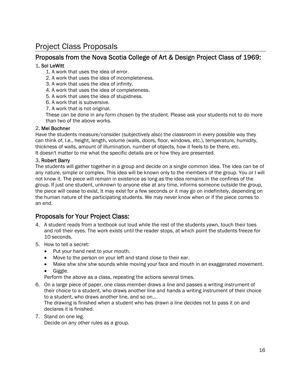### Project Class Proposals

#### Proposals from the Nova Scotia College of Art & Design Project Class of 1969:

#### 1. Sol LeWitt

1. A work that uses the idea of error.

- 2. A work that uses the idea of incompleteness.
- 3. A work that uses the idea of infinity.
- 4. A work that uses the idea of completeness.
- 5. A work that uses the idea of stupidness.
- 6. A work that is subversive.
- 7. A work that is not original.

These can be done in any form chosen by the student. Please ask your students not to do more than two of the above works.

#### 2. Mel Bochner

Have the students measure/consider (subjectively also) the classroom in every possible way they can think of, I.e., height, length, volume (walls, doors, floor, windows, etc.), temperature, humidity, thickness of walls, amount of illumination, number of objects, how it feels to be there, etc. It doesn't matter to me what the specific details are or how they are presented.

#### 3. Robert Barry

The students will gather together in a group and decide on a single common idea. The idea can be of any nature, simple or complex. This idea will be known only to the members of the group. You or I will not know it. The piece will remain in existence as long as the idea remains in the confines of the group. If just one student, unknown to anyone else at any time, informs someone outside the group, the piece will cease to exist. It may exist for a few seconds or it may go on indefinitely, depending on the human nature of the participating students. We may never know when or if the piece comes to an end.

#### Proposals for Your Project Class:

- 4. A student reads from a textbook out loud while the rest of the students yawn, touch their toes and roll their eyes. The work exists until the reader stops, at which point the students freeze for 10 seconds.
- 5. How to tell a secret:
	- Put your hand next to your mouth.
	- Move to the person on your left and stand close to their ear.
	- Make *shw shw shw* sounds while moving your face and mouth in an exaggerated movement.
	- Giggle.

Perform the above as a class, repeating the actions several times.

6. On a large piece of paper, one class member draws a line and passes a writing instrument of their choice to a student, who draws another line and hands a writing instrument of their choice to a student, who draws another line, and so on…

The drawing is finished when a student who has drawn a line decides not to pass it on and declares it is finished.

7. Stand on one leg.

Decide on any other rules as a group.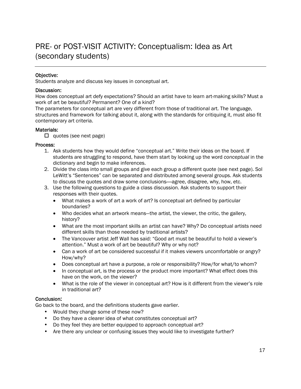### PRE- or POST-VISIT ACTIVITY: Conceptualism: Idea as Art (secondary students)

#### Objective:

I

Students analyze and discuss key issues in conceptual art.

#### Discussion:

How does conceptual art defy expectations? Should an artist have to learn art-making skills? Must a work of art be beautiful? Permanent? One of a kind?

The parameters for conceptual art are very different from those of traditional art. The language, structures and framework for talking about it, along with the standards for critiquing it, must also fit contemporary art criteria.

#### Materials:

 $\Box$  quotes (see next page)

#### Process:

- 1. Ask students how they would define "conceptual art." Write their ideas on the board. If students are struggling to respond, have them start by looking up the word *conceptual* in the dictionary and begin to make inferences.
- 2. Divide the class into small groups and give each group a different quote (see next page). Sol LeWitt's "Sentences" can be separated and distributed among several groups. Ask students to discuss the quotes and draw some conclusions—agree, disagree, why, how, etc.
- 3. Use the following questions to guide a class discussion. Ask students to support their responses with their quotes.
	- What makes a work of art a work of art? Is conceptual art defined by particular boundaries?
	- Who decides what an artwork means—the artist, the viewer, the critic, the gallery, history?
	- What are the most important skills an artist can have? Why? Do conceptual artists need different skills than those needed by traditional artists?
	- The Vancouver artist Jeff Wall has said: "Good art must be beautiful to hold a viewer's attention." Must a work of art be beautiful? Why or why not?
	- Can a work of art be considered successful if it makes viewers uncomfortable or angry? How/why?
	- Does conceptual art have a purpose, a role or responsibility? How/for what/to whom?
	- In conceptual art, is the process or the product more important? What effect does this have on the work, on the viewer?
	- What is the role of the viewer in conceptual art? How is it different from the viewer's role in traditional art?

#### Conclusion:

Go back to the board, and the definitions students gave earlier.

- Would they change some of these now?
- Do they have a clearer idea of what constitutes conceptual art?
- Do they feel they are better equipped to approach conceptual art?
- Are there any unclear or confusing issues they would like to investigate further?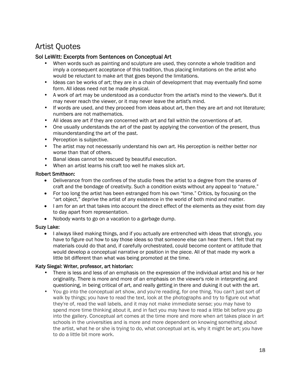### Artist Quotes

#### Sol LeWitt: Excerpts from Sentences on Conceptual Art

- When words such as painting and sculpture are used, they connote a whole tradition and imply a consequent acceptance of this tradition, thus placing limitations on the artist who would be reluctant to make art that goes beyond the limitations.
- Ideas can be works of art; they are in a chain of development that may eventually find some form. All ideas need not be made physical.
- A work of art may be understood as a conductor from the artist's mind to the viewer's. But it may never reach the viewer, or it may never leave the artist's mind.
- If words are used, and they proceed from ideas about art, then they are art and not literature; numbers are not mathematics.
- All ideas are art if they are concerned with art and fall within the conventions of art.
- One usually understands the art of the past by applying the convention of the present, thus misunderstanding the art of the past.
- Perception is subjective.
- The artist may not necessarily understand his own art. His perception is neither better nor worse than that of others.
- Banal ideas cannot be rescued by beautiful execution.
- When an artist learns his craft too well he makes slick art.

#### Robert Smithson:

- Deliverance from the confines of the studio frees the artist to a degree from the snares of craft and the bondage of creativity. Such a condition exists without any appeal to "nature."
- For too long the artist has been estranged from his own "time." Critics, by focusing on the "art object," deprive the artist of any existence in the world of both mind and matter.
- I am for an art that takes into account the direct effect of the elements as they exist from day to day apart from representation.
- Nobody wants to go on a vacation to a garbage dump.

#### Suzy Lake:

• I always liked making things, and if you actually are entrenched with ideas that strongly, you have to figure out how to say those ideas so that someone else can hear them. I felt that my materials could do that and, if carefully orchestrated, could become content or attitude that would develop a conceptual narrative or position in the piece. All of that made my work a little bit different than what was being promoted at the time.

#### Katy Siegal: Writer, professor, art historian:

- There is less and less of an emphasis on the expression of the individual artist and his or her originality. There is more and more of an emphasis on the viewer's role in interpreting and questioning, in being critical of art, and really getting in there and duking it out with the art.
- You go into the conceptual art show, and you're reading, for one thing. You can't just sort of walk by things; you have to read the text, look at the photographs and try to figure out what they're of, read the wall labels, and it may not make immediate sense; you may have to spend more time thinking about it, and in fact you may have to read a little bit before you go into the gallery. Conceptual art comes at the time more and more when art takes place in art schools in the universities and is more and more dependent on knowing something about the artist, what he or she is trying to do, what conceptual art is, why it might be art; you have to do a little bit more work.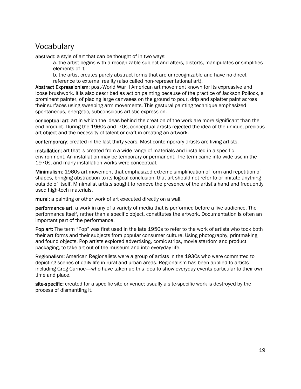### **Vocabulary**

abstract: a style of art that can be thought of in two ways:

a. the artist begins with a recognizable subject and alters, distorts, manipulates or simplifies elements of it;

b. the artist creates purely abstract forms that are unrecognizable and have no direct reference to external reality (also called non-representational art).

Abstract Expressionism: post-World War II American art movement known for its expressive and loose brushwork. It is also described as action painting because of the practice of Jackson Pollock, a prominent painter, of placing large canvases on the ground to pour, drip and splatter paint across their surfaces using sweeping arm movements. This gestural painting technique emphasized spontaneous, energetic, subconscious artistic expression.

conceptual art: art in which the ideas behind the creation of the work are more significant than the end product. During the 1960s and '70s, conceptual artists rejected the idea of the unique, precious art object and the necessity of talent or craft in creating an artwork.

contemporary: created in the last thirty years. Most contemporary artists are living artists.

installation: art that is created from a wide range of materials and installed in a specific environment. An installation may be temporary or permanent. The term came into wide use in the 1970s, and many installation works were conceptual.

Minimalism: 1960s art movement that emphasized extreme simplification of form and repetition of shapes, bringing abstraction to its logical conclusion: that art should not refer to or imitate anything outside of itself. Minimalist artists sought to remove the presence of the artist's hand and frequently used high-tech materials.

mural: a painting or other work of art executed directly on a wall.

performance art: a work in any of a variety of media that is performed before a live audience. The performance itself, rather than a specific object, constitutes the artwork. Documentation is often an important part of the performance.

Pop art: The term "Pop" was first used in the late 1950s to refer to the work of artists who took both their art forms and their subjects from popular consumer culture. Using photography, printmaking and found objects, Pop artists explored advertising, comic strips, movie stardom and product packaging, to take art out of the museum and into everyday life.

Regionalism: American Regionalists were a group of artists in the 1930s who were committed to depicting scenes of daily life in rural and urban areas. Regionalism has been applied to artists including Greg Curnoe—who have taken up this idea to show everyday events particular to their own time and place.

site-specific: created for a specific site or venue; usually a site-specific work is destroyed by the process of dismantling it.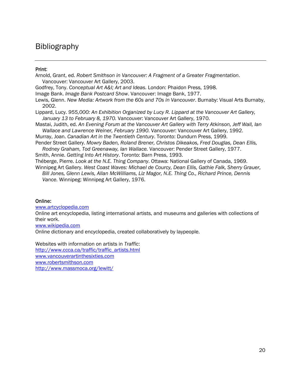### Bibliography

#### Print:

Arnold, Grant, ed. *Robert Smithson in Vancouver: A Fragment of a Greater Fragmentation*. Vancouver: Vancouver Art Gallery, 2003. Godfrey, Tony. *Conceptual Art A&I; Art and Ideas.* London: Phaidon Press, 1998. Image Bank. *Image Bank Postcard Show*. Vancouver: Image Bank, 1977. Lewis, Glenn. *New Media: Artwork from the 60s and 70s in Vancouver*. Burnaby: Visual Arts Burnaby, 2002. Lippard, Lucy. *955,000: An Exhibition Organized by Lucy R. Lippard at the Vancouver Art Gallery, January 13 to February 8, 1970.* Vancouver: Vancouver Art Gallery, 1970. Mastai, Judith, ed. *An Evening Forum at the Vancouver Art Gallery with Terry Atkinson, Jeff Wall, Ian Wallace and Lawrence Weiner, February 1990*. Vancouver: Vancouver Art Gallery, 1992. Murray, Joan. *Canadian Art in the Twentieth Century*. Toronto: Dundurn Press, 1999. Pender Street Gallery. *Mowry Baden, Roland Brener, Christos Dikeakos, Fred Douglas, Dean Ellis, Rodney Graham, Tod Greenaway, Ian Wallace.* Vancouver: Pender Street Gallery, 1977. Smith, Annie. *Getting Into Art History*. Toronto: Barn Press, 1993. Théberge, Pierre. *Look at the N.E. Thing Company*. Ottawa: National Gallery of Canada, 1969.

Winnipeg Art Gallery. *West Coast Waves: Michael de Courcy, Dean Ellis, Gathie Falk, Sherry Grauer, Bill Jones, Glenn Lewis, Allan McWilliams, Liz Magor, N.E. Thing Co., Richard Prince, Dennis Vance.* Winnipeg: Winnipeg Art Gallery, 1976.

#### Online:

[www.artcyclopedia.com](http://www.artcyclopedia.com/)

Online art encyclopedia, listing international artists, and museums and galleries with collections of their work.

[www.wikipedia.com](http://www.wikipedia.com/)

Online dictionary and encyclopedia, created collaboratively by laypeople.

Websites with information on artists in *Traffic*: [http://www.ccca.ca/traffic/traffic\\_artists.html](http://www.ccca.ca/traffic/traffic_artists.html) [www.vancouverartinthesixties.com](http://www.vancouverartinthesixties.com/) [www.robertsmithson.com](http://www.robertsmithson.com/) <http://www.massmoca.org/lewitt/>